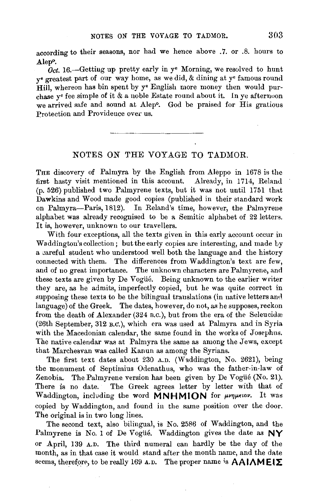according to their seasons, nor had we hence above .7. or .8. hours to Alep<sup>o</sup>.

*Oct.* 16.—Gettiug up pretty early in y<sup>e</sup> Morning, we resolved to hunt y• greatest part of our way home, as we did, & dining at y• famous round Hill, whereon has bin spent by y<sup>e</sup> English more money then would purchase  $y^e$  fee simple of it  $\&$  a noble Estate round about it. In ye afternoon we arrived safe and sound at Alep<sup>o</sup>. God be praised for His gratious Protection and Providence over us.

## NOTES ON THE VOYAGE TO TADMOR.

THE discovery of Palmyra by the English from Aleppo in 1678 is the first hasty visit mentioned in this account. Already, in 1714, Reland (p. 526) published two Palmyrene texts, but it was not until 1751 that Dawkins and Wood made good copies (published in their standard work on Palmyra-Paris, 1812). In Reland's time, however, the Palmyrene alphabet was already recognised to be a Semitic alphabet of 22 letters. It is, however, unknown to our travellers.

With four exceptions, all the texts given in this early account occur in Waddington's collection; but the early copies are interesting, and made by a careful student who understood well both the language and the history connected with them. The differences from Waddington's text are few, and of uo great importance. The unknown characters are Palmyrene, ami these texts are given by De Vogüé. Being unknown to the earlier writer they are, as he admits, imperfectly copied, but he was quite correct in supposing these texts to be the bilingual translations (in native letters and language) of the Greek. The dates, however, do not, as he supposes, reckon from the death of Alexander (324 B.C.), but from the era of the Seleucidæ (26th September, 312 B.0.), which era was used at Palmyra and in Syria with the Macedonian calendar, the same found in the works of Josephus. The native calendar was at Palmyra the same as among the Jews, except that Marchesvan was called Kanun as among the Syrians.

The first text dates about 230 A.D. (Waddington, No. 2621), being the monument of Septimius Odenathus, who was the father-in-law of Zenobia. The Palmyrene version has been given by De Vogüé (No. 21). There is no date. The Greek agrees letter by letter with that of Waddington, including the word **MNHMION** for *propertion*. It was copied by Waddington, and found in the same position over the door. The original is in two long lines.

The second text, also bilingual, is No. 2586 of Waddington, and the Palmyrene is No. 1 of De Vogue. Waddington gives the date as  $NY$ or April, 139 A.D. The third numeral can hardly be the day of the month, as in that case it would stand after the month name, and the date seems, therefore, to be really 169 A.D. The proper name is  $AA1AME1\Sigma$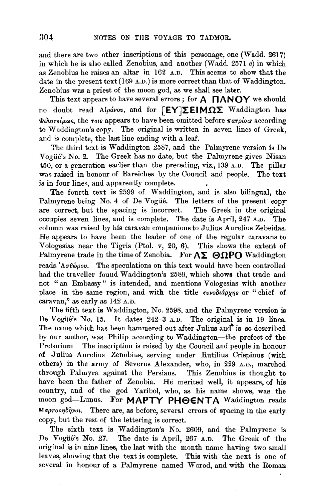and there are two other inscriptions of this personage, one (Wadd. 2617) in which he is also called Zenobius, and another (Wadd.  $2571 c$ ) in which as Zenobius he raises an altar in 162 A.D. This seems to show that the date in the present text(169 A.D.) is more correct than that of Waddington. Zenobius was a priest of the moon god, as we shall see later.

This text appears to have several errors; for **A NANOY** we should no doubt read Alpavov, and for  $\begin{bmatrix} EY \end{bmatrix} \Sigma EIM \Omega \Sigma$  Waddington has  $\Phi$ *i* $\Lambda$ or $\epsilon$ *i* $\mu$ ωs, the rois appears to have been omitted before  $\pi$ *arpio*<sub>is</sub> according to Waddington's copy. The original is written in seven lines of Greek, and is complete, the last line ending with a leaf.

The third text is Waddington 2587, and the Palmyrene version is De Vogiie's No. 2. The Greek has no date, but the Palmyrene gives Nisan 450, or a generation earlier than the preceding, viz., 139 A.D. The pillar was raised in honour of Bareiches by the Council and people. The text is in four lines, and apparently complete.

The fourth text is 2599 of Waddington, and is also bilingual, the Palmyrene being No. 4 of De Vogüé. The letters of the present copy are correct, but the spacing is incorrect. The Greek in the original occupies seven lines, and is complete. The date is April, 247 A.D. The column was raised by his caravan companions to Julius Aurelius Zebeidas. He appears to have been the leader of one of the regular caravans to Vologesias near the Tigris (Ptol. *v,* 20, 6). This shows the extent of Palmyrene trade in the time of Zenobia. For  $A\Sigma$ :  $\Theta \Omega$ PO Waddington reads ' $A\sigma\theta\omega\rho\sigma\nu$ . The speculations on this text would have been controlled had the traveller found Waddington's 2589, which shows that trade and not "an Embassy" is intended, and mentions Vologesias with another place in the same region, and with the title  $\epsilon\nu\nu\delta\iota\acute{a}\rho\chi\eta s$  or "chief of caravan," as early as 142 A.D.

The fifth text is Waddington, No. 2598, and the Palmyrene version is De Vogüé's No. 15. It dates 242-3 A.D. The original is in 19 lines. The name which has been hammered out after Julius and" is so described by our author, was Philip according to Waddington—the prefect of the Pretorium The inscription is raised by the Council and people in honour The inscription is raised by the Council and people in honour of Julius Aurelius Zenobius, serving under Rutilius Crispinus (with others) in the army of Severus Alexander, who, in 229 A.D., marched through Palmyra against the Persians. This Zenobius is thought to have been the father of Zenobia. He merited well, it appears, of his country, and of the god Yaribol, who, as his name shows, was the moon god-Lunus. For MAPTY PHOENTA Waddington reads Mapropnon *Photositus.* There are, as before, several errors of spacing in the early copy, but the rest of the lettering is correct.

The sixth text is Waddington's No. 2609, and the Palmyrene is De Vogüé's No. 27. The date is April, 267 A.D. The Greek of the original is in nine lines, the last with the month name having two small leaves, showing that the text is complete. This with the next is one of several in honour of a Palmyrene named Worod, and with the Roman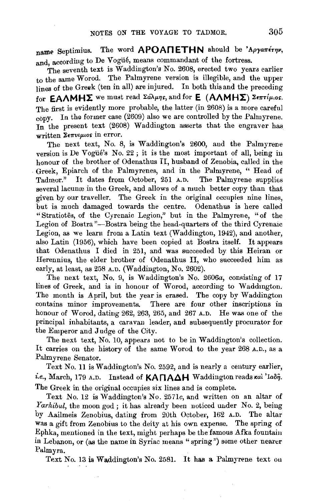name Septimius. The word APOANETHN should be 'Apyanery, and, according to De Vogüé, means commandant of the fortress.

The seventh text is Waddington's No. 2608, erected two years earlier to the same Worod. The Palmyrene version is illegible, and the upper lines of the Greek (ten in all) are injured. In both this and the preceding for **EAAMHX** we must read  $\Sigma$ a $\lambda \mu$ ns, and for **E** (AAMHX)  $\Sigma$ e $\pi$ ri $\mu$ .os. The first is evidently more probable, the latter (in 2608) is a more careful copy. In the former case (2609) also we are controlled by the Palmyrene. In the present text (2608) Waddington asserts that the engraver has written  $\Sigma \epsilon \pi \nu \iota \mu \iota$ os in error.

The next text, No. 8, is Waddington's 2600, and the Palmyrene version is De Vogüé's No. 22; it is the most important of all, being in honour of the brother of Odenathus II, husband of Zenobia, called in the Greek, Epiarch of the Palmyrenes, and in the Palmyrene, " Head of Tadmor." It dates from October, 251 A.D. The Palmyrene supplies several lacunæ in the Greek, and allows of a much better copy than that given by our traveller. The Greek in the original occupies nine lines, but is much damaged towards the centre. Odenathus is here called "Stratiotês, of the Cyrenaic Legion," but in the Palmyrene, "of the Legion of Bostra "-Bostra being the head-quarters of the third Cyrenaic Legion, as we learn from a Latin text (Waddington, 1942), and another, also Latin (1956), which have been copied at Bostra itself. It appears ihat Odenathus I died in 251, and was succeeded by this Heiran or Herennius, the elder brother of Odenathus II, who succeeded him as early, at least, as 258 A.D. (Waddington, No. 2602).

The next text, No. 9, is Waddington's No. 2606a, consisting of 17 lines of Greek, and is in honour of Worod, according to Waddington. The month is April, but the year is erased. The copy by Waddington contains minor improvements. There are four other inscriptions in honour of Worod, dating 262, 263, 265, and 267 A.D. He was one of the principal inhabitants, a caravan leader, and subsequently procurator for the Emperor and Judge of the City.

The next text, No. 10, appears not to be in Waddington's collection. It carries on the history of the same Worod to the year 268 A.D., as a Palmyrene Senator.

Text No. 11 is Waddington's No. 2592, and is nearly a century earlier, i.e., March, 179 A.D. Instead of KA<sub>n</sub>AAH Waddington reads Kal 'Iabi, The Greek in the original occupies six lines and is complete.

Text No. 12 is Waddington's No. 2571c, and written on an altar of *Yarhibul,* the moon god; it has already been noticed uuder No. 2, being by Aailmeis Zenobius, dating from 20th October, 162 A.D. The altar Was a gift from Zenobius to the deity at his own expense. The spring of Ephka, mentioned in the text, might perhaps be the famous Afka fountain in Lebanon, or (as the name in Syriac means "spring") some other nearer Palmyra.

Text No. 13 is Waddington's No. 2581. It has a Palmyrene text on